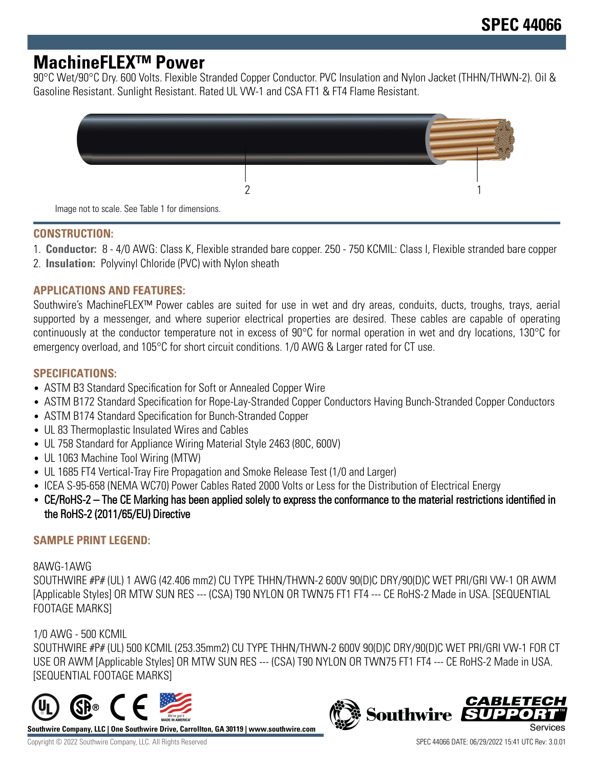# **MachineFLEX™ Power**

90°C Wet/90°C Dry. 600 Volts. Flexible Stranded Copper Conductor. PVC Insulation and Nylon Jacket (THHN/THWN-2). Oil & Gasoline Resistant. Sunlight Resistant. Rated UL VW-1 and CSA FT1 & FT4 Flame Resistant.

| Image not to scale. See Table 1 for dimensions. |  |  |
|-------------------------------------------------|--|--|

#### **CONSTRUCTION:**

1. **Conductor:** 8 - 4/0 AWG: Class K, Flexible stranded bare copper. 250 - 750 KCMIL: Class I, Flexible stranded bare copper

2. **Insulation:** Polyvinyl Chloride (PVC) with Nylon sheath

### **APPLICATIONS AND FEATURES:**

Southwire's MachineFLEX™ Power cables are suited for use in wet and dry areas, conduits, ducts, troughs, trays, aerial supported by a messenger, and where superior electrical properties are desired. These cables are capable of operating continuously at the conductor temperature not in excess of 90°C for normal operation in wet and dry locations, 130°C for emergency overload, and 105°C for short circuit conditions. 1/0 AWG & Larger rated for CT use.

### **SPECIFICATIONS:**

- ASTM B3 Standard Specification for Soft or Annealed Copper Wire
- ASTM B172 Standard Specification for Rope-Lay-Stranded Copper Conductors Having Bunch-Stranded Copper Conductors
- ASTM B174 Standard Specification for Bunch-Stranded Copper
- UL 83 Thermoplastic Insulated Wires and Cables
- UL 758 Standard for Appliance Wiring Material Style 2463 (80C, 600V)
- UL 1063 Machine Tool Wiring (MTW)
- UL 1685 FT4 Vertical-Tray Fire Propagation and Smoke Release Test (1/0 and Larger)
- ICEA S-95-658 (NEMA WC70) Power Cables Rated 2000 Volts or Less for the Distribution of Electrical Energy
- CE/RoHS-2 The CE Marking has been applied solely to express the conformance to the material restrictions identified in the RoHS-2 (2011/65/EU) Directive

### **SAMPLE PRINT LEGEND:**

#### 8AWG-1AWG

SOUTHWIRE #P# (UL) 1 AWG (42.406 mm2) CU TYPE THHN/THWN-2 600V 90(D)C DRY/90(D)C WET PRI/GRI VW-1 OR AWM [Applicable Styles] OR MTW SUN RES --- (CSA) T90 NYLON OR TWN75 FT1 FT4 --- CE RoHS-2 Made in USA. [SEQUENTIAL FOOTAGE MARKS]

# 1/0 AWG - 500 KCMIL

SOUTHWIRE #P# (UL) 500 KCMIL (253.35mm2) CU TYPE THHN/THWN-2 600V 90(D)C DRY/90(D)C WET PRI/GRI VW-1 FOR CT USE OR AWM [Applicable Styles] OR MTW SUN RES --- (CSA) T90 NYLON OR TWN75 FT1 FT4 --- CE RoHS-2 Made in USA. [SEQUENTIAL FOOTAGE MARKS]



**Southwire Company, LLC | One Southwire Drive, Carrollton, GA 30119 | www.southwire.com**

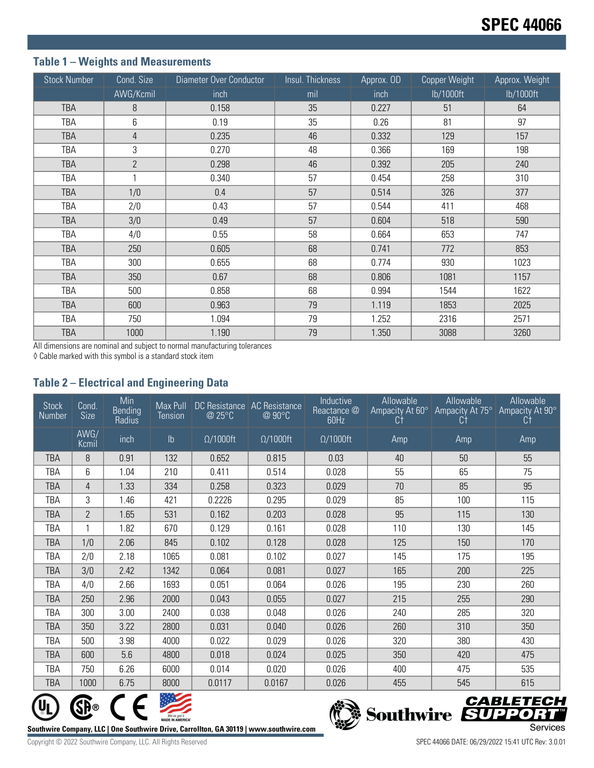# **Table 1 – Weights and Measurements**

| <b>Stock Number</b> | Cond. Size     | Diameter Over Conductor | Insul. Thickness | Approx. OD | Copper Weight | Approx. Weight |
|---------------------|----------------|-------------------------|------------------|------------|---------------|----------------|
|                     | AWG/Kcmil      | inch                    | mil              | inch       | lb/1000ft     | lb/1000ft      |
| <b>TBA</b>          | 8              | 0.158                   | 35               | 0.227      | 51            | 64             |
| TBA                 | 6              | 0.19                    | 35               | 0.26       | 81            | 97             |
| <b>TBA</b>          | 4              | 0.235                   | 46               | 0.332      | 129           | 157            |
| TBA                 | 3              | 0.270                   | 48               | 0.366      | 169           | 198            |
| <b>TBA</b>          | $\overline{2}$ | 0.298                   | 46               | 0.392      | 205           | 240            |
| TBA                 | 1              | 0.340                   | 57               | 0.454      | 258           | 310            |
| <b>TBA</b>          | 1/0            | 0.4                     | 57               | 0.514      | 326           | 377            |
| TBA                 | 2/0            | 0.43                    | 57               | 0.544      | 411           | 468            |
| <b>TBA</b>          | 3/0            | 0.49                    | 57               | 0.604      | 518           | 590            |
| TBA                 | 4/0            | 0.55                    | 58               | 0.664      | 653           | 747            |
| <b>TBA</b>          | 250            | 0.605                   | 68               | 0.741      | 772           | 853            |
| TBA                 | 300            | 0.655                   | 68               | 0.774      | 930           | 1023           |
| <b>TBA</b>          | 350            | 0.67                    | 68               | 0.806      | 1081          | 1157           |
| TBA                 | 500            | 0.858                   | 68               | 0.994      | 1544          | 1622           |
| <b>TBA</b>          | 600            | 0.963                   | 79               | 1.119      | 1853          | 2025           |
| TBA                 | 750            | 1.094                   | 79               | 1.252      | 2316          | 2571           |
| <b>TBA</b>          | 1000           | 1.190                   | 79               | 1.350      | 3088          | 3260           |

All dimensions are nominal and subject to normal manufacturing tolerances

◊ Cable marked with this symbol is a standard stock item

# **Table 2 – Electrical and Engineering Data**

| <b>Stock</b><br>Number | Cond.<br><b>Size</b> | Min<br>Bending<br>Radius | Max Pull<br>Tension | DC Resistance   AC Resistance<br>@ 25°C | @ 90°C           | Inductive<br>Reactance @<br>60Hz | Allowable<br>Ampacity At 60°<br>Ct | Allowable<br>Ampacity At 75°<br>Сt | Allowable<br>Ampacity At 90°<br>Ct |
|------------------------|----------------------|--------------------------|---------------------|-----------------------------------------|------------------|----------------------------------|------------------------------------|------------------------------------|------------------------------------|
|                        | AWG/<br>Kcmil        | inch                     | $\mathsf{lb}$       | $\Omega/1000$ ft                        | $\Omega/1000$ ft | $\Omega/1000$ ft                 | Amp                                | Amp                                | Amp                                |
| <b>TBA</b>             | 8                    | 0.91                     | 132                 | 0.652                                   | 0.815            | 0.03                             | 40                                 | 50                                 | 55                                 |
| <b>TBA</b>             | 6                    | 1.04                     | 210                 | 0.411                                   | 0.514            | 0.028                            | 55                                 | 65                                 | 75                                 |
| <b>TBA</b>             | 4                    | 1.33                     | 334                 | 0.258                                   | 0.323            | 0.029                            | 70                                 | 85                                 | 95                                 |
| <b>TBA</b>             | 3                    | 1.46                     | 421                 | 0.2226                                  | 0.295            | 0.029                            | 85                                 | 100                                | 115                                |
| <b>TBA</b>             | $\overline{2}$       | 1.65                     | 531                 | 0.162                                   | 0.203            | 0.028                            | 95                                 | 115                                | 130                                |
| TBA                    |                      | 1.82                     | 670                 | 0.129                                   | 0.161            | 0.028                            | 110                                | 130                                | 145                                |
| <b>TBA</b>             | 1/0                  | 2.06                     | 845                 | 0.102                                   | 0.128            | 0.028                            | 125                                | 150                                | 170                                |
| <b>TBA</b>             | 2/0                  | 2.18                     | 1065                | 0.081                                   | 0.102            | 0.027                            | 145                                | 175                                | 195                                |
| <b>TBA</b>             | 3/0                  | 2.42                     | 1342                | 0.064                                   | 0.081            | 0.027                            | 165                                | 200                                | 225                                |
| TBA                    | 4/0                  | 2.66                     | 1693                | 0.051                                   | 0.064            | 0.026                            | 195                                | 230                                | 260                                |
| <b>TBA</b>             | 250                  | 2.96                     | 2000                | 0.043                                   | 0.055            | 0.027                            | 215                                | 255                                | 290                                |
| <b>TBA</b>             | 300                  | 3.00                     | 2400                | 0.038                                   | 0.048            | 0.026                            | 240                                | 285                                | 320                                |
| <b>TBA</b>             | 350                  | 3.22                     | 2800                | 0.031                                   | 0.040            | 0.026                            | 260                                | 310                                | 350                                |
| TBA                    | 500                  | 3.98                     | 4000                | 0.022                                   | 0.029            | 0.026                            | 320                                | 380                                | 430                                |
| <b>TBA</b>             | 600                  | 5.6                      | 4800                | 0.018                                   | 0.024            | 0.025                            | 350                                | 420                                | 475                                |
| <b>TBA</b>             | 750                  | 6.26                     | 6000                | 0.014                                   | 0.020            | 0.026                            | 400                                | 475                                | 535                                |
| <b>TBA</b>             | 1000                 | 6.75                     | 8000                | 0.0117                                  | 0.0167           | 0.026                            | 455                                | 545                                | 615                                |







Copyright © 2022 Southwire Company, LLC. All Rights Reserved SPEC 44066 DATE: 06/29/2022 15:41 UTC Rev: 3.0.01